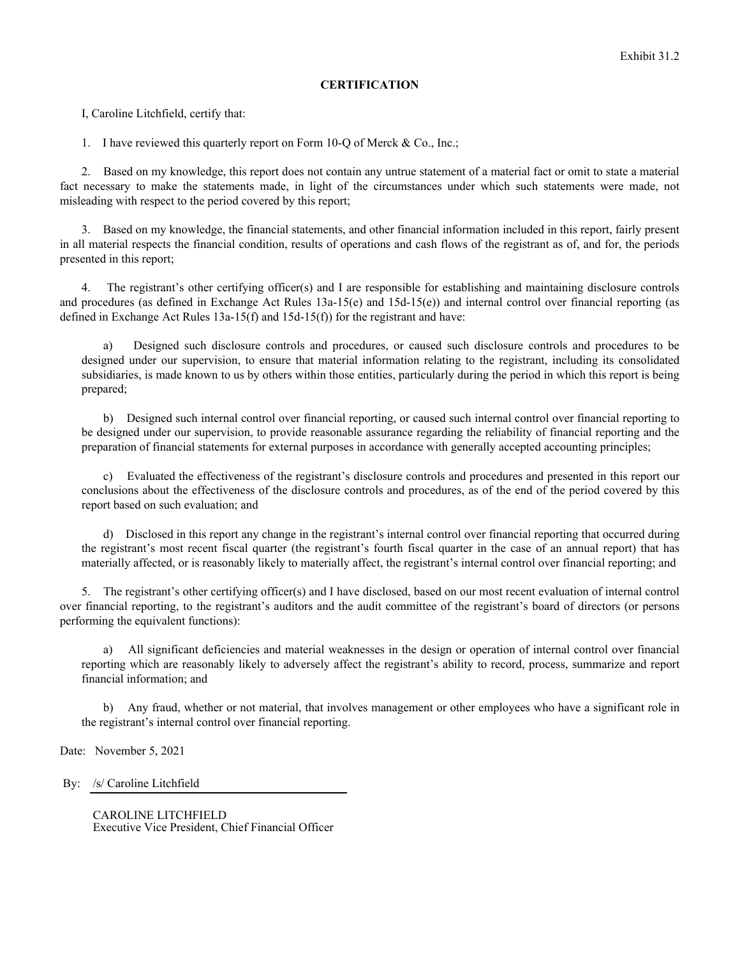## **CERTIFICATION**

I, Caroline Litchfield, certify that:

1. I have reviewed this quarterly report on Form 10-Q of Merck & Co., Inc.;

2. Based on my knowledge, this report does not contain any untrue statement of a material fact or omit to state a material fact necessary to make the statements made, in light of the circumstances under which such statements were made, not misleading with respect to the period covered by this report;

3. Based on my knowledge, the financial statements, and other financial information included in this report, fairly present in all material respects the financial condition, results of operations and cash flows of the registrant as of, and for, the periods presented in this report;

4. The registrant's other certifying officer(s) and I are responsible for establishing and maintaining disclosure controls and procedures (as defined in Exchange Act Rules  $13a-15(e)$  and  $15d-15(e)$ ) and internal control over financial reporting (as defined in Exchange Act Rules 13a-15(f) and 15d-15(f)) for the registrant and have:

a) Designed such disclosure controls and procedures, or caused such disclosure controls and procedures to be designed under our supervision, to ensure that material information relating to the registrant, including its consolidated subsidiaries, is made known to us by others within those entities, particularly during the period in which this report is being prepared;

b) Designed such internal control over financial reporting, or caused such internal control over financial reporting to be designed under our supervision, to provide reasonable assurance regarding the reliability of financial reporting and the preparation of financial statements for external purposes in accordance with generally accepted accounting principles;

c) Evaluated the effectiveness of the registrant's disclosure controls and procedures and presented in this report our conclusions about the effectiveness of the disclosure controls and procedures, as of the end of the period covered by this report based on such evaluation; and

d) Disclosed in this report any change in the registrant's internal control over financial reporting that occurred during the registrant's most recent fiscal quarter (the registrant's fourth fiscal quarter in the case of an annual report) that has materially affected, or is reasonably likely to materially affect, the registrant's internal control over financial reporting; and

5. The registrant's other certifying officer(s) and I have disclosed, based on our most recent evaluation of internal control over financial reporting, to the registrant's auditors and the audit committee of the registrant's board of directors (or persons performing the equivalent functions):

a) All significant deficiencies and material weaknesses in the design or operation of internal control over financial reporting which are reasonably likely to adversely affect the registrant's ability to record, process, summarize and report financial information; and

b) Any fraud, whether or not material, that involves management or other employees who have a significant role in the registrant's internal control over financial reporting.

Date: November 5, 2021

By: /s/ Caroline Litchfield

CAROLINE LITCHFIELD Executive Vice President, Chief Financial Officer